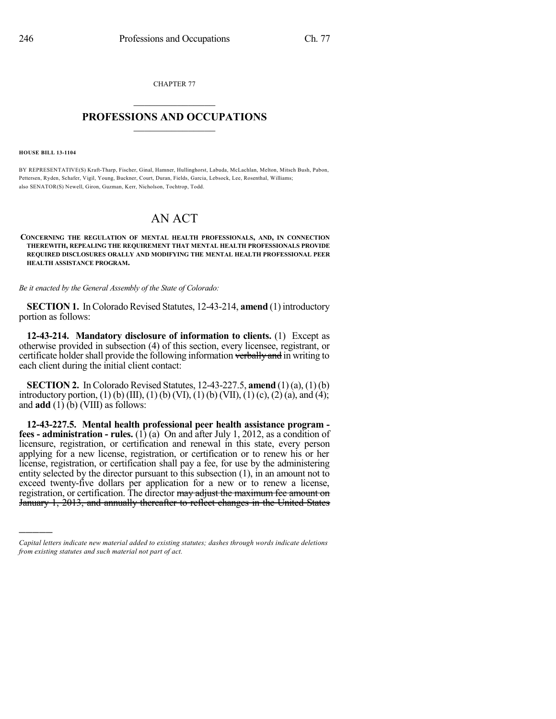CHAPTER 77  $\overline{\phantom{a}}$  . The set of the set of the set of the set of the set of the set of the set of the set of the set of the set of the set of the set of the set of the set of the set of the set of the set of the set of the set o

## **PROFESSIONS AND OCCUPATIONS**  $\frac{1}{2}$  ,  $\frac{1}{2}$  ,  $\frac{1}{2}$  ,  $\frac{1}{2}$  ,  $\frac{1}{2}$  ,  $\frac{1}{2}$

**HOUSE BILL 13-1104**

)))))

BY REPRESENTATIVE(S) Kraft-Tharp, Fischer, Ginal, Hamner, Hullinghorst, Labuda, McLachlan, Melton, Mitsch Bush, Pabon, Pettersen, Ryden, Schafer, Vigil, Young, Buckner, Court, Duran, Fields, Garcia, Lebsock, Lee, Rosenthal, Williams; also SENATOR(S) Newell, Giron, Guzman, Kerr, Nicholson, Tochtrop, Todd.

## AN ACT

## **CONCERNING THE REGULATION OF MENTAL HEALTH PROFESSIONALS, AND, IN CONNECTION THEREWITH, REPEALING THE REQUIREMENT THAT MENTAL HEALTH PROFESSIONALS PROVIDE REQUIRED DISCLOSURES ORALLY AND MODIFYING THE MENTAL HEALTH PROFESSIONAL PEER HEALTH ASSISTANCE PROGRAM.**

*Be it enacted by the General Assembly of the State of Colorado:*

**SECTION 1.** In Colorado Revised Statutes, 12-43-214, **amend** (1) introductory portion as follows:

**12-43-214. Mandatory disclosure of information to clients.** (1) Except as otherwise provided in subsection (4) of this section, every licensee, registrant, or certificate holder shall provide the following information verbally and in writing to each client during the initial client contact:

**SECTION 2.** In Colorado Revised Statutes, 12-43-227.5, **amend** (1)(a), (1) (b) introductory portion, (1) (b) (III), (1) (b) (VI), (1) (b) (VII), (1) (c), (2) (a), and (4); and **add** (1) (b) (VIII) as follows:

**12-43-227.5. Mental health professional peer health assistance program fees - administration - rules.** (1) (a) On and after July 1, 2012, as a condition of licensure, registration, or certification and renewal in this state, every person applying for a new license, registration, or certification or to renew his or her license, registration, or certification shall pay a fee, for use by the administering entity selected by the director pursuant to this subsection (1), in an amount not to exceed twenty-five dollars per application for a new or to renew a license, registration, or certification. The director may adjust the maximum fee amount on January 1, 2013, and annually thereafter to reflect changes in the United States

*Capital letters indicate new material added to existing statutes; dashes through words indicate deletions from existing statutes and such material not part of act.*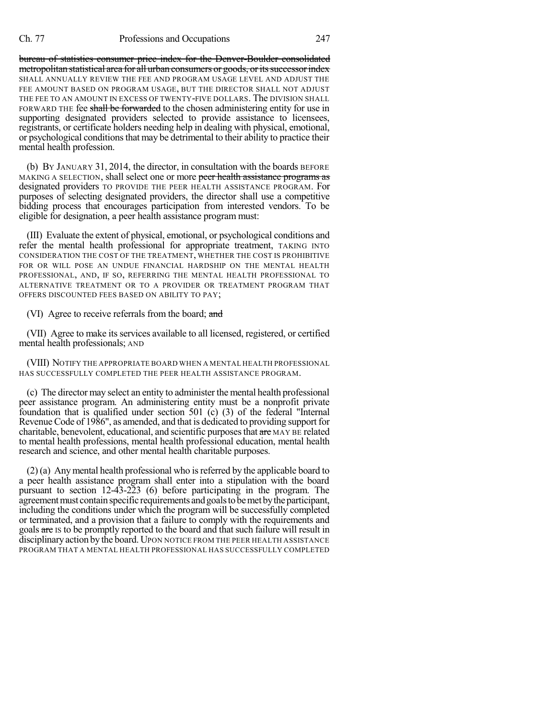bureau of statistics consumer price index for the Denver-Boulder consolidated metropolitan statistical area for all urban consumers or goods, or its successor index SHALL ANNUALLY REVIEW THE FEE AND PROGRAM USAGE LEVEL AND ADJUST THE FEE AMOUNT BASED ON PROGRAM USAGE, BUT THE DIRECTOR SHALL NOT ADJUST THE FEE TO AN AMOUNT IN EXCESS OF TWENTY-FIVE DOLLARS. The DIVISION SHALL FORWARD THE fee shall be forwarded to the chosen administering entity for use in supporting designated providers selected to provide assistance to licensees, registrants, or certificate holders needing help in dealing with physical, emotional, or psychological conditionsthat may be detrimental to their ability to practice their mental health profession.

(b) BY JANUARY 31, 2014, the director, in consultation with the boards BEFORE MAKING A SELECTION, shall select one or more peer health assistance programs as designated providers TO PROVIDE THE PEER HEALTH ASSISTANCE PROGRAM. For purposes of selecting designated providers, the director shall use a competitive bidding process that encourages participation from interested vendors. To be eligible for designation, a peer health assistance program must:

(III) Evaluate the extent of physical, emotional, or psychological conditions and refer the mental health professional for appropriate treatment, TAKING INTO CONSIDERATION THE COST OF THE TREATMENT, WHETHER THE COST IS PROHIBITIVE FOR OR WILL POSE AN UNDUE FINANCIAL HARDSHIP ON THE MENTAL HEALTH PROFESSIONAL, AND, IF SO, REFERRING THE MENTAL HEALTH PROFESSIONAL TO ALTERNATIVE TREATMENT OR TO A PROVIDER OR TREATMENT PROGRAM THAT OFFERS DISCOUNTED FEES BASED ON ABILITY TO PAY;

(VI) Agree to receive referrals from the board; and

(VII) Agree to make its services available to all licensed, registered, or certified mental health professionals; AND

(VIII) NOTIFY THE APPROPRIATE BOARD WHEN A MENTAL HEALTH PROFESSIONAL HAS SUCCESSFULLY COMPLETED THE PEER HEALTH ASSISTANCE PROGRAM.

(c) The director may select an entity to administer the mental health professional peer assistance program. An administering entity must be a nonprofit private foundation that is qualified under section 501 (c) (3) of the federal "Internal Revenue Code of 1986", as amended, and that is dedicated to providing support for charitable, benevolent, educational, and scientific purposes that are MAY BE related to mental health professions, mental health professional education, mental health research and science, and other mental health charitable purposes.

(2) (a) Anymental health professional who isreferred by the applicable board to a peer health assistance program shall enter into a stipulation with the board pursuant to section 12-43-223 (6) before participating in the program. The agreement must contain specific requirements and goals to be met by the participant, including the conditions under which the program will be successfully completed or terminated, and a provision that a failure to comply with the requirements and goals are is to be promptly reported to the board and that such failure will result in disciplinaryaction by the board. UPON NOTICE FROM THE PEER HEALTH ASSISTANCE PROGRAM THAT A MENTAL HEALTH PROFESSIONAL HAS SUCCESSFULLY COMPLETED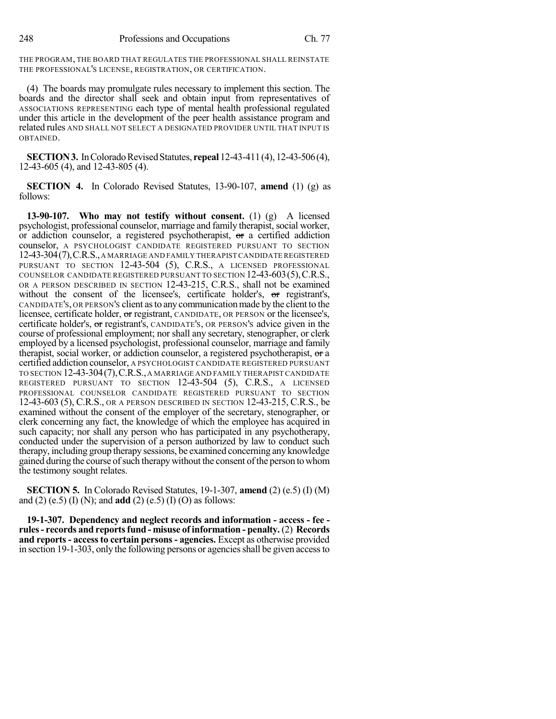248 Professions and Occupations Ch. 77

THE PROGRAM, THE BOARD THAT REGULATES THE PROFESSIONAL SHALL REINSTATE THE PROFESSIONAL'S LICENSE, REGISTRATION, OR CERTIFICATION.

(4) The boards may promulgate rules necessary to implement this section. The boards and the director shall seek and obtain input from representatives of ASSOCIATIONS REPRESENTING each type of mental health professional regulated under this article in the development of the peer health assistance program and related rules AND SHALL NOT SELECT A DESIGNATED PROVIDER UNTIL THAT INPUT IS OBTAINED.

**SECTION 3.** In Colorado Revised Statutes, **repeal** 12-43-411 (4), 12-43-506 (4), 12-43-605 (4), and 12-43-805 (4).

**SECTION 4.** In Colorado Revised Statutes, 13-90-107, **amend** (1) (g) as follows:

**13-90-107. Who may not testify without consent.** (1) (g) A licensed psychologist, professional counselor, marriage and family therapist, social worker, or addiction counselor, a registered psychotherapist, or a certified addiction counselor, A PSYCHOLOGIST CANDIDATE REGISTERED PURSUANT TO SECTION 12-43-304(7),C.R.S.,A MARRIAGE AND FAMILY THERAPISTCANDIDATE REGISTERED PURSUANT TO SECTION 12-43-504 (5), C.R.S., A LICENSED PROFESSIONAL COUNSELOR CANDIDATE REGISTERED PURSUANT TO SECTION 12-43-603(5),C.R.S., OR A PERSON DESCRIBED IN SECTION 12-43-215, C.R.S., shall not be examined without the consent of the licensee's, certificate holder's, or registrant's, CANDIDATE'S, OR PERSON'S client asto anycommunicationmade by the client to the licensee, certificate holder, or registrant, CANDIDATE, OR PERSON or the licensee's, certificate holder's, or registrant's, CANDIDATE'S, OR PERSON'S advice given in the course of professional employment; nor shall any secretary, stenographer, or clerk employed by a licensed psychologist, professional counselor, marriage and family therapist, social worker, or addiction counselor, a registered psychotherapist, or a certified addiction counselor, A PSYCHOLOGIST CANDIDATE REGISTERED PURSUANT TO SECTION 12-43-304(7),C.R.S.,A MARRIAGE AND FAMILY THERAPIST CANDIDATE REGISTERED PURSUANT TO SECTION 12-43-504 (5), C.R.S., A LICENSED PROFESSIONAL COUNSELOR CANDIDATE REGISTERED PURSUANT TO SECTION 12-43-603 (5), C.R.S., OR A PERSON DESCRIBED IN SECTION 12-43-215, C.R.S., be examined without the consent of the employer of the secretary, stenographer, or clerk concerning any fact, the knowledge of which the employee has acquired in such capacity; nor shall any person who has participated in any psychotherapy, conducted under the supervision of a person authorized by law to conduct such therapy, including group therapy sessions, be examined concerning any knowledge gained during the course of such therapy without the consent of the person to whom the testimony sought relates.

**SECTION 5.** In Colorado Revised Statutes, 19-1-307, **amend** (2) (e.5) (I) (M) and (2) (e.5) (I) (N); and **add** (2) (e.5) (I) (O) as follows:

**19-1-307. Dependency and neglect records and information - access - fee rules- records and reportsfund - misuse of information - penalty.**(2) **Records and reports- accessto certain persons- agencies.** Except as otherwise provided in section 19-1-303, only the following persons or agencies shall be given access to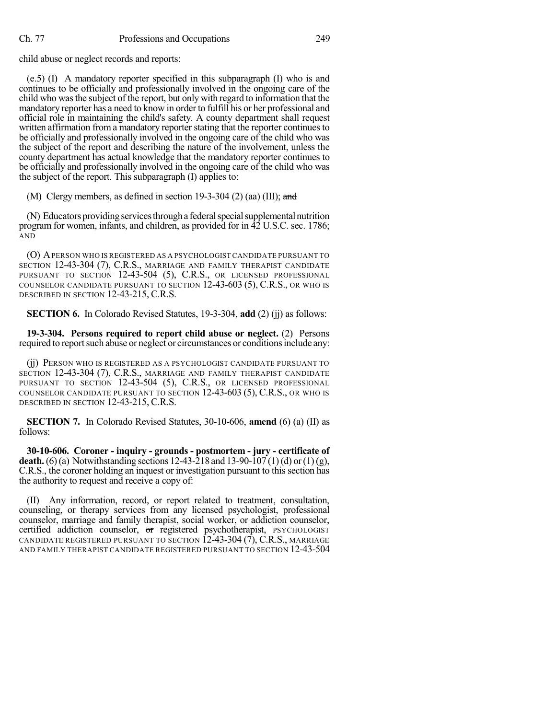child abuse or neglect records and reports:

(e.5) (I) A mandatory reporter specified in this subparagraph (I) who is and continues to be officially and professionally involved in the ongoing care of the child who wasthe subject of the report, but only with regard to information that the mandatory reporter has a need to know in order to fulfill his or her professional and official role in maintaining the child's safety. A county department shall request written affirmation from a mandatory reporter stating that the reporter continues to be officially and professionally involved in the ongoing care of the child who was the subject of the report and describing the nature of the involvement, unless the county department has actual knowledge that the mandatory reporter continues to be officially and professionally involved in the ongoing care of the child who was the subject of the report. This subparagraph (I) applies to:

(M) Clergy members, as defined in section 19-3-304 (2) (aa) (III); and

(N) Educators providing services through a federal special supplemental nutrition program for women, infants, and children, as provided for in 42 U.S.C. sec. 1786; AND

(O) APERSON WHO IS REGISTERED AS A PSYCHOLOGIST CANDIDATE PURSUANT TO SECTION 12-43-304 (7), C.R.S., MARRIAGE AND FAMILY THERAPIST CANDIDATE PURSUANT TO SECTION 12-43-504 (5), C.R.S., OR LICENSED PROFESSIONAL COUNSELOR CANDIDATE PURSUANT TO SECTION 12-43-603 (5), C.R.S., OR WHO IS DESCRIBED IN SECTION 12-43-215, C.R.S.

**SECTION 6.** In Colorado Revised Statutes, 19-3-304, **add** (2) (jj) as follows:

**19-3-304. Persons required to report child abuse or neglect.** (2) Persons required to report such abuse or neglect or circumstances or conditions include any:

(jj) PERSON WHO IS REGISTERED AS A PSYCHOLOGIST CANDIDATE PURSUANT TO SECTION 12-43-304 (7), C.R.S., MARRIAGE AND FAMILY THERAPIST CANDIDATE PURSUANT TO SECTION 12-43-504 (5), C.R.S., OR LICENSED PROFESSIONAL COUNSELOR CANDIDATE PURSUANT TO SECTION 12-43-603 (5), C.R.S., OR WHO IS DESCRIBED IN SECTION 12-43-215, C.R.S.

**SECTION 7.** In Colorado Revised Statutes, 30-10-606, **amend** (6) (a) (II) as follows:

**30-10-606. Coroner - inquiry - grounds - postmortem - jury - certificate of death.** (6)(a) Notwithstanding sections  $12-43-218$  and  $13-90-107(1)$  (d) or  $(1)(g)$ , C.R.S., the coroner holding an inquest or investigation pursuant to this section has the authority to request and receive a copy of:

(II) Any information, record, or report related to treatment, consultation, counseling, or therapy services from any licensed psychologist, professional counselor, marriage and family therapist, social worker, or addiction counselor, certified addiction counselor, or registered psychotherapist, PSYCHOLOGIST CANDIDATE REGISTERED PURSUANT TO SECTION  $\overline{12-43-304(7)}$ , C.R.S., MARRIAGE AND FAMILY THERAPIST CANDIDATE REGISTERED PURSUANT TO SECTION 12-43-504